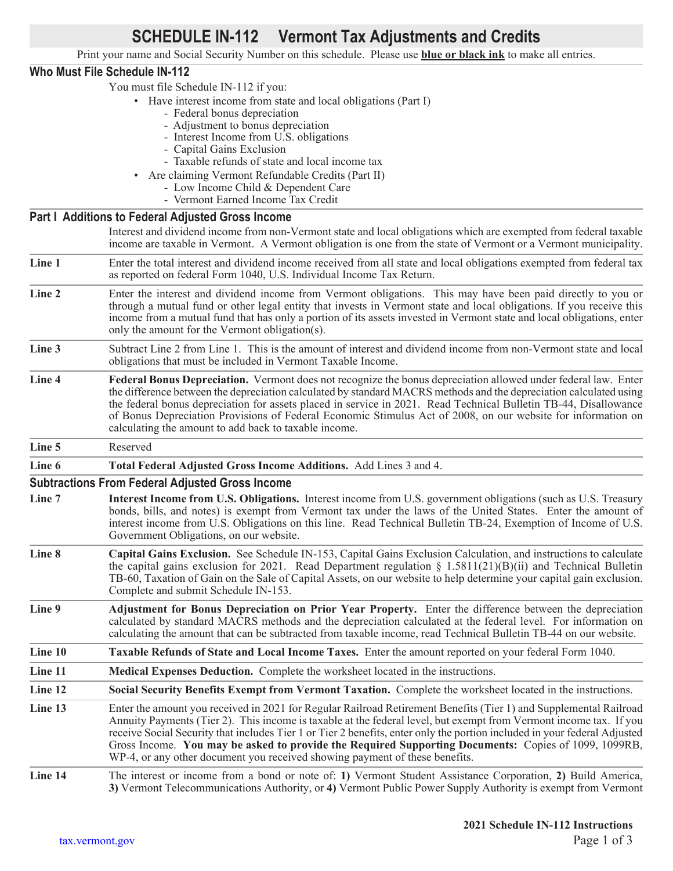# **SCHEDULE IN-112 Vermont Tax Adjustments and Credits**

Print your name and Social Security Number on this schedule. Please use **blue or black ink** to make all entries.

## **Who Must File Schedule IN-112**

You must file Schedule IN-112 if you:

- Have interest income from state and local obligations (Part I)
	- Federal bonus depreciation
	- Adjustment to bonus depreciation
	- Interest Income from U.S. obligations
	- Capital Gains Exclusion
- Taxable refunds of state and local income tax
- Are claiming Vermont Refundable Credits (Part II)
	- Low Income Child & Dependent Care
	- Vermont Earned Income Tax Credit

## **Part I Additions to Federal Adjusted Gross Income**

Interest and dividend income from non-Vermont state and local obligations which are exempted from federal taxable income are taxable in Vermont. A Vermont obligation is one from the state of Vermont or a Vermont municipality.

Line 1 Enter the total interest and dividend income received from all state and local obligations exempted from federal tax as reported on federal Form 1040, U.S. Individual Income Tax Return.

- Line 2 Enter the interest and dividend income from Vermont obligations. This may have been paid directly to you or through a mutual fund or other legal entity that invests in Vermont state and local obligations. If you receive this income from a mutual fund that has only a portion of its assets invested in Vermont state and local obligations, enter only the amount for the Vermont obligation(s).
- **Line 3** Subtract Line 2 from Line 1. This is the amount of interest and dividend income from non-Vermont state and local obligations that must be included in Vermont Taxable Income.
- **Line 4 Federal Bonus Depreciation.** Vermont does not recognize the bonus depreciation allowed under federal law. Enter the difference between the depreciation calculated by standard MACRS methods and the depreciation calculated using the federal bonus depreciation for assets placed in service in 2021. Read Technical Bulletin TB-44, Disallowance of Bonus Depreciation Provisions of Federal Economic Stimulus Act of 2008, on our website for information on calculating the amount to add back to taxable income.

**Line 5** Reserved

**Line 6 Total Federal Adjusted Gross Income Additions.** Add Lines 3 and 4.

#### **Subtractions From Federal Adjusted Gross Income**

- **Line 7 Interest Income from U.S. Obligations.** Interest income from U.S. government obligations (such as U.S. Treasury bonds, bills, and notes) is exempt from Vermont tax under the laws of the United States. Enter the amount of interest income from U.S. Obligations on this line. Read Technical Bulletin TB-24, Exemption of Income of U.S. Government Obligations, on our website.
- **Line 8 Capital Gains Exclusion.** See Schedule IN-153, Capital Gains Exclusion Calculation, and instructions to calculate the capital gains exclusion for 2021. Read Department regulation  $\S$  1.5811(21)(B)(ii) and Technical Bulletin TB-60, Taxation of Gain on the Sale of Capital Assets, on our website to help determine your capital gain exclusion. Complete and submit Schedule IN-153.
- **Line 9 Adjustment for Bonus Depreciation on Prior Year Property.** Enter the difference between the depreciation calculated by standard MACRS methods and the depreciation calculated at the federal level. For information on calculating the amount that can be subtracted from taxable income, read Technical Bulletin TB-44 on our website.

**Line 10 Taxable Refunds of State and Local Income Taxes.** Enter the amount reported on your federal Form 1040.

**Line 11 Medical Expenses Deduction.** Complete the worksheet located in the instructions.

**Line 12 Social Security Benefits Exempt from Vermont Taxation.** Complete the worksheet located in the instructions.

**Line 13** Enter the amount you received in 2021 for Regular Railroad Retirement Benefits (Tier 1) and Supplemental Railroad Annuity Payments (Tier 2). This income is taxable at the federal level, but exempt from Vermont income tax. If you receive Social Security that includes Tier 1 or Tier 2 benefits, enter only the portion included in your federal Adjusted Gross Income. **You may be asked to provide the Required Supporting Documents:** Copies of 1099, 1099RB, WP-4, or any other document you received showing payment of these benefits.

**Line 14** The interest or income from a bond or note of: **1)** Vermont Student Assistance Corporation, **2)** Build America, **3)** Vermont Telecommunications Authority, or **4)** Vermont Public Power Supply Authority is exempt from Vermont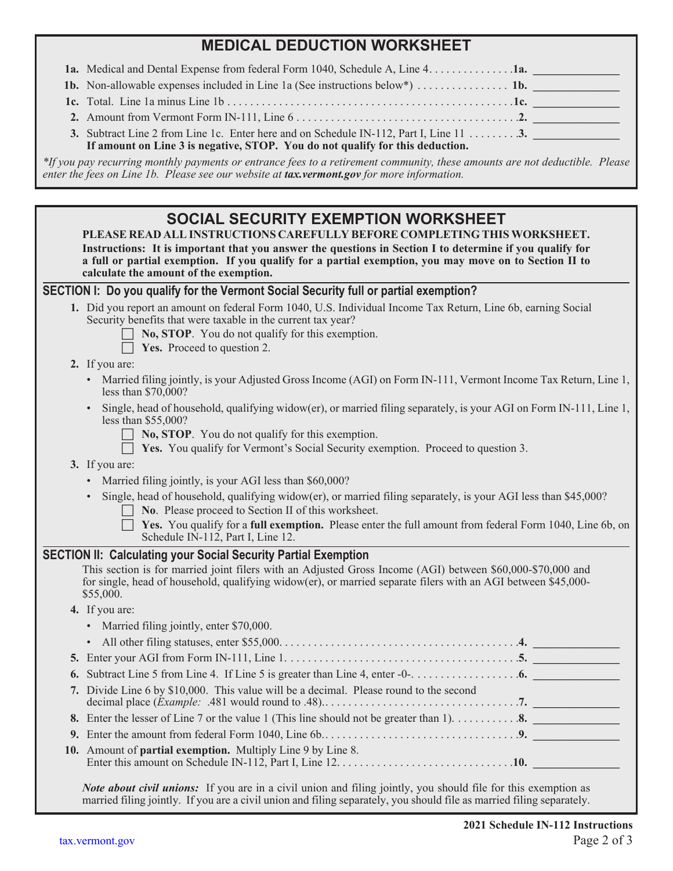## **MEDICAL DEDUCTION WORKSHEET**

| 1a. Medical and Dental Expense from federal Form 1040, Schedule A, Line 4. 1a. |  |
|--------------------------------------------------------------------------------|--|
|--------------------------------------------------------------------------------|--|

| <b>1b.</b> Non-allowable expenses included in Line 1a (See instructions below*) $\dots \dots \dots \dots$ 1b. |  |
|---------------------------------------------------------------------------------------------------------------|--|
|                                                                                                               |  |

**2.** Amount from Vermont Form IN-111, Line 6. . . . . . . .

|  | <b>3.</b> Subtract Line 2 from Line 1c. Enter here and on Schedule IN-112, Part I, Line 11 $\dots \dots$ 3. |  |
|--|-------------------------------------------------------------------------------------------------------------|--|

## **If amount on Line 3 is negative, STOP. You do not qualify for this deduction.**

*\*If you pay recurring monthly payments or entrance fees to a retirement community, these amounts are not deductible. Please enter the fees on Line 1b. Please see our website at tax.vermont.gov for more information.*

## **SOCIAL SECURITY EXEMPTION WORKSHEET PLEASE READ ALL INSTRUCTIONS CAREFULLY BEFORE COMPLETING THIS WORKSHEET. Instructions: It is important that you answer the questions in Section I to determine if you qualify for a full or partial exemption. If you qualify for a partial exemption, you may move on to Section II to calculate the amount of the exemption. SECTION I: Do you qualify for the Vermont Social Security full or partial exemption? 1.** Did you report an amount on federal Form 1040, U.S. Individual Income Tax Return, Line 6b, earning Social Security benefits that were taxable in the current tax year? **No, STOP.** You do not qualify for this exemption. **Yes.** Proceed to question 2. **2.** If you are: • Married filing jointly, is your Adjusted Gross Income (AGI) on Form IN-111, Vermont Income Tax Return, Line 1, less than \$70,000? • Single, head of household, qualifying widow(er), or married filing separately, is your AGI on Form IN-111, Line 1, less than \$55,000?  $\Box$  **No, STOP**. You do not qualify for this exemption. **T** Yes. You qualify for Vermont's Social Security exemption. Proceed to question 3. **3.** If you are: • Married filing jointly, is your AGI less than \$60,000? • Single, head of household, qualifying widow(er), or married filing separately, is your AGI less than \$45,000?  $\Box$  **No**. Please proceed to Section II of this worksheet. **Fig. Yes.** You qualify for a **full exemption.** Please enter the full amount from federal Form 1040, Line 6b, on Schedule IN-112, Part I, Line 12. **SECTION II: Calculating your Social Security Partial Exemption** This section is for married joint filers with an Adjusted Gross Income (AGI) between \$60,000-\$70,000 and for single, head of household, qualifying widow(er), or married separate filers with an AGI between \$45,000- \$55,000. **4.** If you are: • Married filing jointly, enter \$70,000. • All other filing statuses, enter \$55,000. . . . . . . . . . . . . . . . . . . . . . . . . . . . . . . . . . . . . . . . . .**4. \_\_\_\_\_\_\_\_\_\_\_\_\_\_\_ 5.** Enter your AGI from Form IN-111, Line 1.. . **5. \_\_\_\_\_\_\_\_\_\_\_\_\_\_\_ 6.** Subtract Line 5 from Line 4. If Line 5 is greater than Line 4, enter  $-0$ - $\dots$  $\dots$  $\dots$  $\dots$ ... **7.** Divide Line 6 by \$10,000. This value will be a decimal. Please round to the second decimal place (*Example:* .481 would round to .48).. . **7. \_\_\_\_\_\_\_\_\_\_\_\_\_\_\_ 8.** Enter the lesser of Line 7 or the value 1 (This line should not be greater than 1).. . **8. \_\_\_\_\_\_\_\_\_\_\_\_\_\_\_ 9.** Enter the amount from federal Form 1040, Line 6b.. . **9. \_\_\_\_\_\_\_\_\_\_\_\_\_\_\_ 10.** Amount of **partial exemption.** Multiply Line 9 by Line 8. Enter this amount on Schedule IN-112, Part I, Line 12.. . **10. \_\_\_\_\_\_\_\_\_\_\_\_\_\_\_**

*Note about civil unions:* If you are in a civil union and filing jointly, you should file for this exemption as married filing jointly. If you are a civil union and filing separately, you should file as married filing separately.